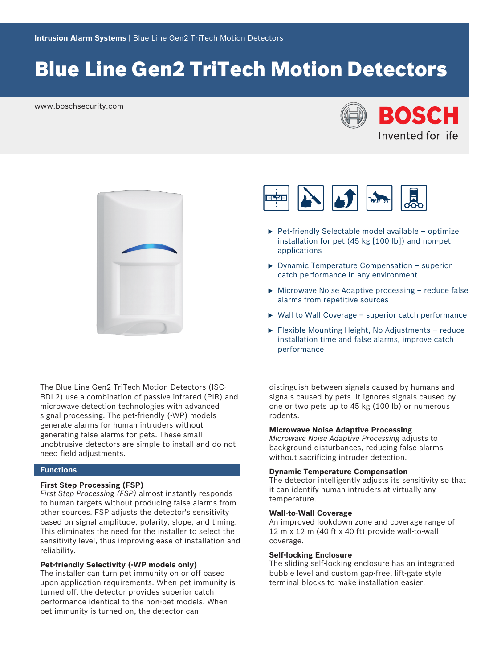# Blue Line Gen2 TriTech Motion Detectors

www.boschsecurity.com





The Blue Line Gen2 TriTech Motion Detectors (ISC-BDL2) use a combination of passive infrared (PIR) and microwave detection technologies with advanced signal processing. The pet-friendly (-WP) models generate alarms for human intruders without generating false alarms for pets. These small unobtrusive detectors are simple to install and do not need field adjustments.

## **Functions**

#### **First Step Processing (FSP)**

*First Step Processing (FSP)* almost instantly responds to human targets without producing false alarms from other sources. FSP adjusts the detector's sensitivity based on signal amplitude, polarity, slope, and timing. This eliminates the need for the installer to select the sensitivity level, thus improving ease of installation and reliability.

# **Pet‑friendly Selectivity (‑WP models only)**

The installer can turn pet immunity on or off based upon application requirements. When pet immunity is turned off, the detector provides superior catch performance identical to the non‑pet models. When pet immunity is turned on, the detector can



- $\blacktriangleright$  Pet-friendly Selectable model available optimize installation for pet (45 kg [100 lb]) and non‑pet applications
- $\triangleright$  Dynamic Temperature Compensation superior catch performance in any environment
- $\triangleright$  Microwave Noise Adaptive processing reduce false alarms from repetitive sources
- $\triangleright$  Wall to Wall Coverage superior catch performance
- $\blacktriangleright$  Flexible Mounting Height, No Adjustments reduce installation time and false alarms, improve catch performance

distinguish between signals caused by humans and signals caused by pets. It ignores signals caused by one or two pets up to 45 kg (100 lb) or numerous rodents.

# **Microwave Noise Adaptive Processing**

*Microwave Noise Adaptive Processing* adjusts to background disturbances, reducing false alarms without sacrificing intruder detection.

#### **Dynamic Temperature Compensation**

The detector intelligently adjusts its sensitivity so that it can identify human intruders at virtually any temperature.

### **Wall-to-Wall Coverage**

An improved lookdown zone and coverage range of 12 m  $\times$  12 m (40 ft  $\times$  40 ft) provide wall-to-wall coverage.

# **Self-locking Enclosure**

The sliding self-locking enclosure has an integrated bubble level and custom gap-free, lift-gate style terminal blocks to make installation easier.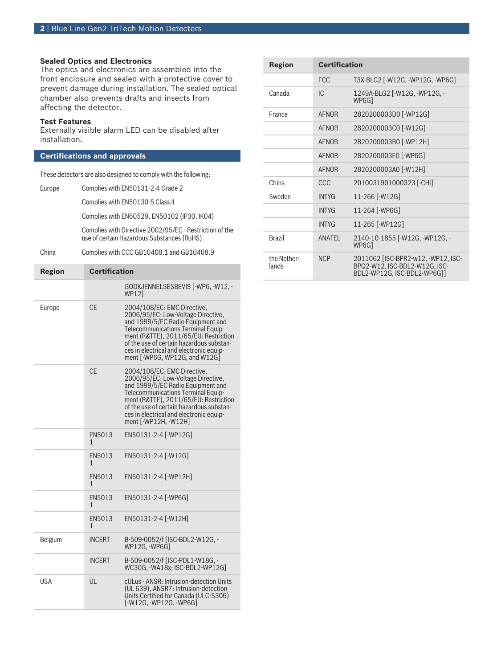# **Sealed Optics and Electronics**

The optics and electronics are assembled into the front enclosure and sealed with a protective cover to prevent damage during installation. The sealed optical chamber also prevents drafts and insects from affecting the detector.

### **Test Features**

Externally visible alarm LED can be disabled after installation.

# **Certifications and approvals**

These detectors are also designed to comply with the following:

Europe Complies with EN50131-2-4 Grade 2

Complies with EN50130-5 Class II

Complies with EN60529, EN50102 (IP30, IK04)

Complies with Directive 2002/95/EC - Restriction of the use of certain Hazardous Substances (RoHS)

#### China Complies with CCC GB10408.1 and GB10408.9

| <b>Region</b> | <b>Certification</b> |                                                                                                                                                                                                                                                                                                               |
|---------------|----------------------|---------------------------------------------------------------------------------------------------------------------------------------------------------------------------------------------------------------------------------------------------------------------------------------------------------------|
|               |                      | GODKJENNELSESBEVIS [-WP6, -W12, -<br>WP121                                                                                                                                                                                                                                                                    |
| Europe        | <b>CE</b>            | 2004/108/EC: EMC Directive,<br>2006/95/EC: Low-Voltage Directive,<br>and 1999/5/EC Radio Equipment and<br>Telecommunications Terminal Equip-<br>ment (R&TTE), 2011/65/EU: Restriction<br>of the use of certain hazardous substan-<br>ces in electrical and electronic equip-<br>ment [-WP6G, WP12G, and W12G] |
|               | CF                   | 2004/108/EC: EMC Directive,<br>2006/95/EC: Low-Voltage Directive,<br>and 1999/5/EC Radio Equipment and<br>Telecommunications Terminal Equip-<br>ment (R&TTE), 2011/65/EU: Restriction<br>of the use of certain hazardous substan-<br>ces in electrical and electronic equip-<br>ment [-WP12H, -W12H]          |
|               | EN5013<br>1          | EN50131-2-4 [-WP12G]                                                                                                                                                                                                                                                                                          |
|               | EN5013<br>1          | EN50131-2-4 [-W12G]                                                                                                                                                                                                                                                                                           |
|               | EN5013<br>1          | EN50131-2-4 [-WP12H]                                                                                                                                                                                                                                                                                          |
|               | EN5013<br>1          | EN50131-2-4 [-WP6G]                                                                                                                                                                                                                                                                                           |
|               | EN5013<br>1          | EN50131-2-4 [-W12H]                                                                                                                                                                                                                                                                                           |
| Belgium       | <b>INCERT</b>        | B-509-0052/f [ISC-BDL2-W12G, -<br>WP12G.-WP6Gl                                                                                                                                                                                                                                                                |
|               | <b>INCERT</b>        | B-509-0052/f [ISC-PDL1-W18G, -<br>WC30G. - WA18x: ISC-BDL2-WP12G1                                                                                                                                                                                                                                             |
| USA           | UL                   | cULus - ANSR: Intrusion-detection Units<br>(UL 639), ANSR7: Intrusion-detection<br>Units Certified for Canada (ULC-S306)<br>[-W12G, -WP12G, -WP6G]                                                                                                                                                            |
|               |                      |                                                                                                                                                                                                                                                                                                               |

| <b>Region</b>        | <b>Certification</b> |                                                                                                    |
|----------------------|----------------------|----------------------------------------------------------------------------------------------------|
|                      | <b>FCC</b>           | T3X-BLG2 [-W12G, -WP12G, -WP6G]                                                                    |
| Canada               | IC.                  | 1249A-BLG2 [-W12G, -WP12G, -<br>WP6G1                                                              |
| France               | <b>AFNOR</b>         | 2820200003D0 [-WP12G]                                                                              |
|                      | <b>AFNOR</b>         | 2820200003C0 [-W12G]                                                                               |
|                      | <b>AFNOR</b>         | 2820200003B0 [-WP12H]                                                                              |
|                      | <b>AFNOR</b>         | 2820200003E0 [-WP6G]                                                                               |
|                      | <b>AFNOR</b>         | 2820200003A0 [-W12H]                                                                               |
| China                | CCC                  | 2010031901000323 [-CHI]                                                                            |
| Sweden               | <b>INTYG</b>         | 11-266 [-W12G]                                                                                     |
|                      | <b>INTYG</b>         | 11-264 [-WP6G]                                                                                     |
|                      | <b>INTYG</b>         | 11-265 [-WP12G]                                                                                    |
| <b>Brazil</b>        | ANATFI               | 2140-10-1855 [-W12G, -WP12G, -<br>WP6G1                                                            |
| the Nether-<br>lands | <b>NCP</b>           | 2011062 [ISC-BPR2-w12, -WP12, ISC-<br>BPQ2-W12, ISC-BDL2-W12G, ISC-<br>BDL2-WP12G, ISC-BDL2-WP6G]] |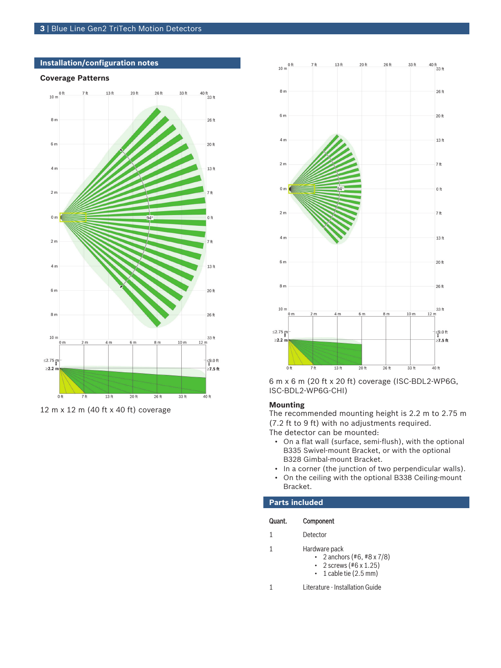# **Installation/configuration notes**

#### **Coverage Patterns**



12 m x 12 m (40 ft x 40 ft) coverage



6 m x 6 m (20 ft x 20 ft) coverage (ISC‑BDL2‑WP6G, ISC‑BDL2‑WP6G‑CHI)

#### **Mounting**

The recommended mounting height is 2.2 m to 2.75 m (7.2 ft to 9 ft) with no adjustments required. The detector can be mounted:

- On a flat wall (surface, semi-flush), with the optional B335 Swivel-mount Bracket, or with the optional B328 Gimbal-mount Bracket.
- In a corner (the junction of two perpendicular walls).
- On the ceiling with the optional B338 Ceiling-mount Bracket.

# **Parts included**

| Component<br>Quant. |  |
|---------------------|--|
|---------------------|--|

- 1 Detector
- 1 Hardware pack
	- 2 anchors  $(*6, **8 \times 7/8)$
	- 2 screws  $(#6 \times 1.25)$  $\cdot$  1 cable tie (2.5 mm)
	-

1 Literature - Installation Guide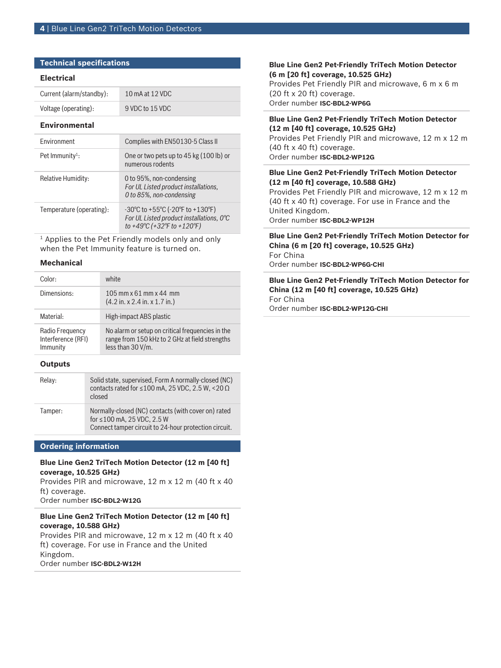# **Technical specifications**

#### **Electrical**

| Current (alarm/standby): | 10 mA at 12 VDC |
|--------------------------|-----------------|
| Voltage (operating):     | 9 VDC to 15 VDC |

#### **Environmental**

| <b>Fnvironment</b>          | Complies with EN50130-5 Class II                                                                                                                    |
|-----------------------------|-----------------------------------------------------------------------------------------------------------------------------------------------------|
| Pet Immunity <sup>1</sup> : | One or two pets up to 45 kg (100 lb) or<br>numerous rodents                                                                                         |
| Relative Humidity:          | 0 to 95%, non-condensing<br>For UL Listed product installations,<br>0 to 85%, non-condensing                                                        |
| Temperature (operating):    | $-30^{\circ}$ C to $+55^{\circ}$ C ( $-20^{\circ}$ F to $+130^{\circ}$ F)<br>For UL Listed product installations, 0°C<br>to +49°C (+32°F to +120°F) |

 $^{\rm 1}$  Applies to the Pet Friendly models only and only when the Pet Immunity feature is turned on.

#### **Mechanical**

| Color:                                            | white                                                                                                                   |
|---------------------------------------------------|-------------------------------------------------------------------------------------------------------------------------|
| Dimensions:                                       | 10.5 mm $\times$ 61 mm $\times$ 44 mm<br>$(4.2 \text{ in. x } 2.4 \text{ in. x } 1.7 \text{ in.})$                      |
| Material:                                         | High-impact ABS plastic                                                                                                 |
| Radio Frequency<br>Interference (RFI)<br>Immunity | No alarm or setup on critical frequencies in the<br>range from 150 kHz to 2 GHz at field strengths<br>less than 30 V/m. |

# **Outputs**

| Relay:  | Solid state, supervised, Form A normally-closed (NC)<br>contacts rated for $\leq 100$ mA, 25 VDC, 2.5 W, $\leq 20 \Omega$<br>closed              |
|---------|--------------------------------------------------------------------------------------------------------------------------------------------------|
| Tamper: | Normally-closed (NC) contacts (with cover on) rated<br>for $\leq 100$ mA, 25 VDC, 2.5 W<br>Connect tamper circuit to 24-hour protection circuit. |

# **Ordering information**

### **Blue Line Gen2 TriTech Motion Detector (12 m [40 ft] coverage, 10.525 GHz)**

Provides PIR and microwave, 12 m x 12 m (40 ft x 40 ft) coverage.

Order number **ISC-BDL2-W12G**

### **Blue Line Gen2 TriTech Motion Detector (12 m [40 ft] coverage, 10.588 GHz)**

Provides PIR and microwave, 12 m x 12 m (40 ft x 40 ft) coverage. For use in France and the United Kingdom. Order number **ISC-BDL2-W12H**

### **Blue Line Gen2 Pet‑Friendly TriTech Motion Detector (6 m [20 ft] coverage, 10.525 GHz)**

Provides Pet Friendly PIR and microwave, 6 m x 6 m (20 ft x 20 ft) coverage. Order number **ISC-BDL2-WP6G**

### **Blue Line Gen2 Pet‑Friendly TriTech Motion Detector (12 m [40 ft] coverage, 10.525 GHz)**

Provides Pet Friendly PIR and microwave, 12 m x 12 m (40 ft x 40 ft) coverage. Order number **ISC-BDL2-WP12G**

#### **Blue Line Gen2 Pet‑Friendly TriTech Motion Detector (12 m [40 ft] coverage, 10.588 GHz)**

Provides Pet Friendly PIR and microwave, 12 m x 12 m (40 ft x 40 ft) coverage. For use in France and the United Kingdom. Order number **ISC-BDL2-WP12H**

**Blue Line Gen2 Pet‑Friendly TriTech Motion Detector for China (6 m [20 ft] coverage, 10.525 GHz)** For China Order number **ISC-BDL2-WP6G-CHI**

# **Blue Line Gen2 Pet‑Friendly TriTech Motion Detector for China (12 m [40 ft] coverage, 10.525 GHz)** For China Order number **ISC-BDL2-WP12G-CHI**